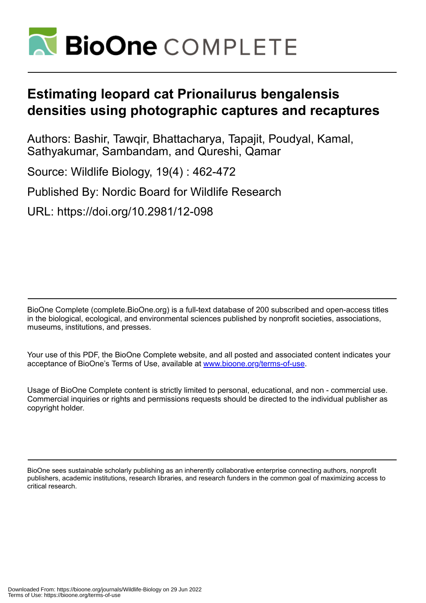

# **Estimating leopard cat Prionailurus bengalensis densities using photographic captures and recaptures**

Authors: Bashir, Tawqir, Bhattacharya, Tapajit, Poudyal, Kamal, Sathyakumar, Sambandam, and Qureshi, Qamar

Source: Wildlife Biology, 19(4) : 462-472 Published By: Nordic Board for Wildlife Research

URL: https://doi.org/10.2981/12-098

BioOne Complete (complete.BioOne.org) is a full-text database of 200 subscribed and open-access titles in the biological, ecological, and environmental sciences published by nonprofit societies, associations, museums, institutions, and presses.

Your use of this PDF, the BioOne Complete website, and all posted and associated content indicates your acceptance of BioOne's Terms of Use, available at www.bioone.org/terms-of-use.

Usage of BioOne Complete content is strictly limited to personal, educational, and non - commercial use. Commercial inquiries or rights and permissions requests should be directed to the individual publisher as copyright holder.

BioOne sees sustainable scholarly publishing as an inherently collaborative enterprise connecting authors, nonprofit publishers, academic institutions, research libraries, and research funders in the common goal of maximizing access to critical research.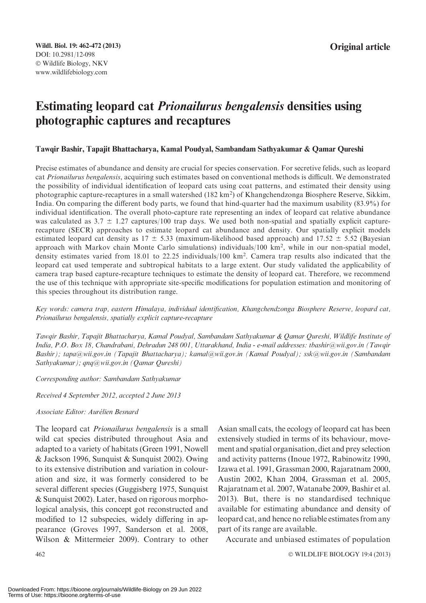## Estimating leopard cat Prionailurus bengalensis densities using photographic captures and recaptures

## Tawqir Bashir, Tapajit Bhattacharya, Kamal Poudyal, Sambandam Sathyakumar & Qamar Qureshi

Precise estimates of abundance and density are crucial for species conservation. For secretive felids, such as leopard cat Prionailurus bengalensis, acquiring such estimates based on conventional methods is difficult. We demonstrated the possibility of individual identification of leopard cats using coat patterns, and estimated their density using photographic capture-recaptures in a small watershed (182 km<sup>2</sup>) of Khangchendzonga Biosphere Reserve, Sikkim, India. On comparing the different body parts, we found that hind-quarter had the maximum usability (83.9%) for individual identification. The overall photo-capture rate representing an index of leopard cat relative abundance was calculated as  $3.7 \pm 1.27$  captures/100 trap days. We used both non-spatial and spatially explicit capturerecapture (SECR) approaches to estimate leopard cat abundance and density. Our spatially explicit models estimated leopard cat density as  $17 \pm 5.33$  (maximum-likelihood based approach) and  $17.52 \pm 5.52$  (Bayesian approach with Markov chain Monte Carlo simulations) individuals/100 km<sup>2</sup>, while in our non-spatial model, density estimates varied from 18.01 to 22.25 individuals/100 km<sup>2</sup>. Camera trap results also indicated that the leopard cat used temperate and subtropical habitats to a large extent. Our study validated the applicability of camera trap based capture-recapture techniques to estimate the density of leopard cat. Therefore, we recommend the use of this technique with appropriate site-specific modifications for population estimation and monitoring of this species throughout its distribution range.

Key words: camera trap, eastern Himalaya, individual identification, Khangchendzonga Biosphere Reserve, leopard cat, Prionailurus bengalensis, spatially explicit capture-recapture

Tawqir Bashir, Tapajit Bhattacharya, Kamal Poudyal, Sambandam Sathyakumar & Qamar Qureshi, Wildlife Institute of India, P.O. Box 18, Chandrabani, Dehradun 248 001, Uttarakhand, India - e-mail addresses: tbashir@wii.gov.in (Tawqir Bashir); tapa@wii.gov.in (Tapajit Bhattacharya); kamal@wii.gov.in (Kamal Poudyal); ssk@wii.gov.in (Sambandam Sathyakumar); qnq@wii.gov.in (Qamar Qureshi)

Corresponding author: Sambandam Sathyakumar

Received 4 September 2012, accepted 2 June 2013

#### Associate Editor: Aurélien Besnard

The leopard cat Prionailurus bengalensis is a small wild cat species distributed throughout Asia and adapted to a variety of habitats (Green 1991, Nowell & Jackson 1996, Sunquist & Sunquist 2002). Owing to its extensive distribution and variation in colouration and size, it was formerly considered to be several different species (Guggisberg 1975, Sunquist & Sunquist 2002). Later, based on rigorous morphological analysis, this concept got reconstructed and modified to 12 subspecies, widely differing in appearance (Groves 1997, Sanderson et al. 2008, Wilson & Mittermeier 2009). Contrary to other Asian small cats, the ecology of leopard cat has been extensively studied in terms of its behaviour, movement and spatial organisation, diet and prey selection and activity patterns (Inoue 1972, Rabinowitz 1990, Izawa et al. 1991, Grassman 2000, Rajaratnam 2000, Austin 2002, Khan 2004, Grassman et al. 2005, Rajaratnam et al. 2007, Watanabe 2009, Bashir et al. 2013). But, there is no standardised technique available for estimating abundance and density of leopard cat, and hence no reliable estimates from any part of its range are available.

Accurate and unbiased estimates of population

WILDLIFE BIOLOGY 19:4 (2013)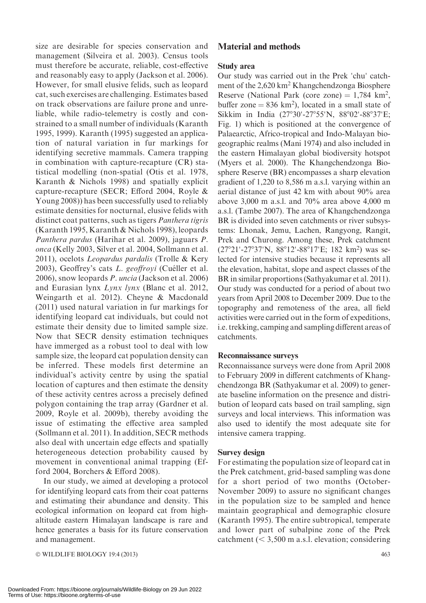size are desirable for species conservation and management (Silveira et al. 2003). Census tools must therefore be accurate, reliable, cost-effective and reasonably easy to apply (Jackson et al. 2006). However, for small elusive felids, such as leopard cat, such exercises are challenging. Estimates based on track observations are failure prone and unreliable, while radio-telemetry is costly and constrained to a small number of individuals (Karanth 1995, 1999). Karanth (1995) suggested an application of natural variation in fur markings for identifying secretive mammals. Camera trapping in combination with capture-recapture (CR) statistical modelling (non-spatial (Otis et al. 1978, Karanth & Nichols 1998) and spatially explicit capture-recapture (SECR; Efford 2004, Royle & Young 2008)) has been successfully used to reliably estimate densities for nocturnal, elusive felids with distinct coat patterns, such as tigers Panthera tigris (Karanth 1995, Karanth & Nichols 1998), leopards Panthera pardus (Harihar et al. 2009), jaguars P. onca (Kelly 2003, Silver et al. 2004, Sollmann et al. 2011), ocelots Leopardus pardalis (Trolle & Kery 2003), Geoffrey's cats L. geoffroyi (Cuéller et al. 2006), snow leopards P. uncia (Jackson et al. 2006) and Eurasian lynx Lynx lynx (Blanc et al. 2012, Weingarth et al. 2012). Cheyne & Macdonald (2011) used natural variation in fur markings for identifying leopard cat individuals, but could not estimate their density due to limited sample size. Now that SECR density estimation techniques have immerged as a robust tool to deal with low sample size, the leopard cat population density can be inferred. These models first determine an individual's activity centre by using the spatial location of captures and then estimate the density of these activity centres across a precisely defined polygon containing the trap array (Gardner et al. 2009, Royle et al. 2009b), thereby avoiding the issue of estimating the effective area sampled (Sollmann et al. 2011). In addition, SECR methods also deal with uncertain edge effects and spatially heterogeneous detection probability caused by movement in conventional animal trapping (Efford 2004, Borchers & Efford 2008).

In our study, we aimed at developing a protocol for identifying leopard cats from their coat patterns and estimating their abundance and density. This ecological information on leopard cat from highaltitude eastern Himalayan landscape is rare and hence generates a basis for its future conservation and management.

© WILDLIFE BIOLOGY 19:4 (2013) 463

## Material and methods

### Study area

Our study was carried out in the Prek 'chu' catchment of the 2,620 km<sup>2</sup> Khangchendzonga Biosphere Reserve (National Park (core zone) =  $1,784 \text{ km}^2$ , buffer zone =  $836 \text{ km}^2$ ), located in a small state of Sikkim in India (27°30'-27°55'N, 88°02'-88°37'E; Fig. 1) which is positioned at the convergence of Palaearctic, Africo-tropical and Indo-Malayan biogeographic realms (Mani 1974) and also included in the eastern Himalayan global biodiversity hotspot (Myers et al. 2000). The Khangchendzonga Biosphere Reserve (BR) encompasses a sharp elevation gradient of 1,220 to 8,586 m a.s.l. varying within an aerial distance of just 42 km with about 90% area above 3,000 m a.s.l. and 70% area above 4,000 m a.s.l. (Tambe 2007). The area of Khangchendzonga BR is divided into seven catchments or river subsystems: Lhonak, Jemu, Lachen, Rangyong, Rangit, Prek and Churong. Among these, Prek catchment (27°21'-27°37'N, 88°12'-88°17'E; 182 km<sup>2</sup>) was selected for intensive studies because it represents all the elevation, habitat, slope and aspect classes of the BR in similar proportions (Sathyakumar et al. 2011). Our study was conducted for a period of about two years from April 2008 to December 2009. Due to the topography and remoteness of the area, all field activities were carried out in the form of expeditions, i.e. trekking, camping and sampling different areas of catchments.

#### Reconnaissance surveys

Reconnaissance surveys were done from April 2008 to February 2009 in different catchments of Khangchendzonga BR (Sathyakumar et al. 2009) to generate baseline information on the presence and distribution of leopard cats based on trail sampling, sign surveys and local interviews. This information was also used to identify the most adequate site for intensive camera trapping.

#### Survey design

For estimating the population size of leopard cat in the Prek catchment, grid-based sampling was done for a short period of two months (October-November 2009) to assure no significant changes in the population size to be sampled and hence maintain geographical and demographic closure (Karanth 1995). The entire subtropical, temperate and lower part of subalpine zone of the Prek catchment  $(< 3,500$  m a.s.l. elevation; considering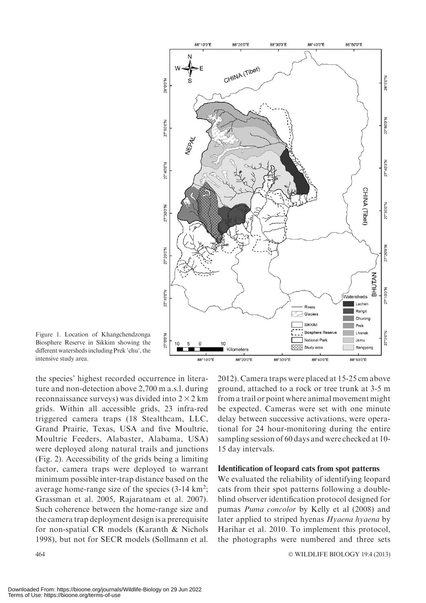

Figure 1. Location of Khangchendzonga Biosphere Reserve in Sikkim showing the different watersheds including Prek 'chu', the intensive study area.

the species' highest recorded occurrence in literature and non-detection above 2,700 m a.s.l. during reconnaissance surveys) was divided into  $2 \times 2$  km grids. Within all accessible grids, 23 infra-red triggered camera traps (18 Stealthcam, LLC, Grand Prairie, Texas, USA and five Moultrie, Moultrie Feeders, Alabaster, Alabama, USA) were deployed along natural trails and junctions (Fig. 2). Accessibility of the grids being a limiting factor, camera traps were deployed to warrant minimum possible inter-trap distance based on the average home-range size of the species (3-14 km<sup>2</sup>; Grassman et al. 2005, Rajaratnam et al. 2007). Such coherence between the home-range size and the camera trap deployment design is a prerequisite for non-spatial CR models (Karanth & Nichols 1998), but not for SECR models (Sollmann et al.

 $464$   $\circ$ 

2012). Camera traps were placed at 15-25 cm above ground, attached to a rock or tree trunk at 3-5 m from a trail or point where animal movement might be expected. Cameras were set with one minute delay between successive activations, were operational for 24 hour-monitoring during the entire sampling session of 60 days and were checked at 10- 15 day intervals.

#### Identification of leopard cats from spot patterns

We evaluated the reliability of identifying leopard cats from their spot patterns following a doubleblind observer identification protocol designed for pumas Puma concolor by Kelly et al (2008) and later applied to striped hyenas Hyaena hyaena by Harihar et al. 2010. To implement this protocol, the photographs were numbered and three sets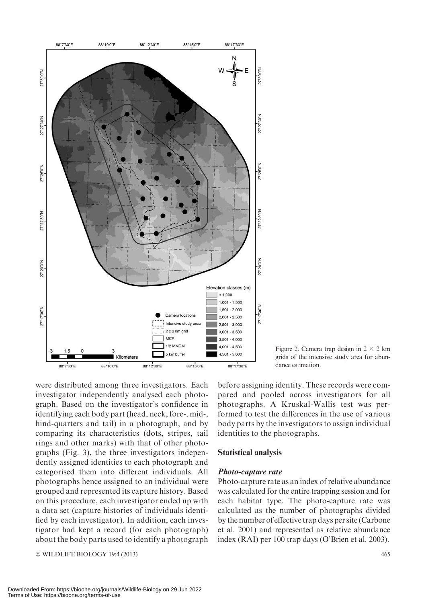

Figure 2. Camera trap design in  $2 \times 2$  km grids of the intensive study area for abundance estimation.

were distributed among three investigators. Each investigator independently analysed each photograph. Based on the investigator's confidence in identifying each body part (head, neck, fore-, mid-, hind-quarters and tail) in a photograph, and by comparing its characteristics (dots, stripes, tail rings and other marks) with that of other photographs (Fig. 3), the three investigators independently assigned identities to each photograph and categorised them into different individuals. All photographs hence assigned to an individual were grouped and represented its capture history. Based on this procedure, each investigator ended up with a data set (capture histories of individuals identified by each investigator). In addition, each investigator had kept a record (for each photograph) about the body parts used to identify a photograph

- WILDLIFE BIOLOGY 19:4 (2013) 465

before assigning identity. These records were compared and pooled across investigators for all photographs. A Kruskal-Wallis test was performed to test the differences in the use of various body parts by the investigators to assign individual identities to the photographs.

#### Statistical analysis

#### Photo-capture rate

Photo-capture rate as an index of relative abundance was calculated for the entire trapping session and for each habitat type. The photo-capture rate was calculated as the number of photographs divided by the number of effective trap days per site (Carbone et al. 2001) and represented as relative abundance index (RAI) per 100 trap days (O'Brien et al. 2003).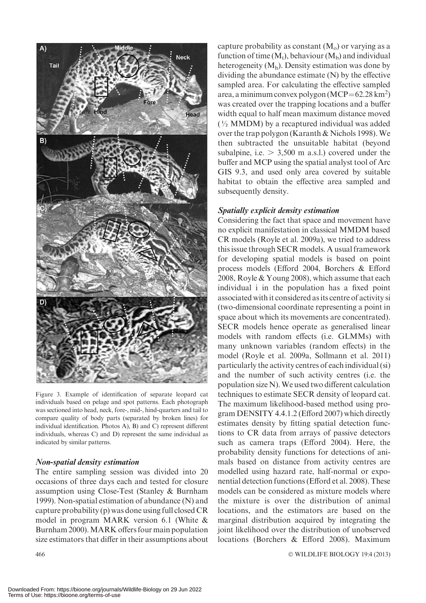

Figure 3. Example of identification of separate leopard cat individuals based on pelage and spot patterns. Each photograph was sectioned into head, neck, fore-, mid-, hind-quarters and tail to compare quality of body parts (separated by broken lines) for individual identification. Photos A), B) and C) represent different individuals, whereas C) and D) represent the same individual as indicated by similar patterns.

## Non-spatial density estimation

The entire sampling session was divided into 20 occasions of three days each and tested for closure assumption using Close-Test (Stanley & Burnham 1999). Non-spatial estimation of abundance (N) and capture probability (p) was done using full closed CR model in program MARK version 6.1 (White & Burnham 2000). MARK offers four main population size estimators that differ in their assumptions about

 $466$   $\circ$ 

capture probability as constant  $(M<sub>o</sub>)$  or varying as a function of time  $(M_t)$ , behaviour  $(M_b)$  and individual heterogeneity  $(M_h)$ . Density estimation was done by dividing the abundance estimate (N) by the effective sampled area. For calculating the effective sampled area, a minimum convex polygon  $(MCP = 62.28 \text{ km}^2)$ was created over the trapping locations and a buffer width equal to half mean maximum distance moved  $(\frac{1}{2}$  MMDM) by a recaptured individual was added over the trap polygon (Karanth & Nichols 1998). We then subtracted the unsuitable habitat (beyond subalpine, i.e.  $> 3,500$  m a.s.l.) covered under the buffer and MCP using the spatial analyst tool of Arc GIS 9.3, and used only area covered by suitable habitat to obtain the effective area sampled and subsequently density.

## Spatially explicit density estimation

Considering the fact that space and movement have no explicit manifestation in classical MMDM based CR models (Royle et al. 2009a), we tried to address this issue through SECR models. A usual framework for developing spatial models is based on point process models (Efford 2004, Borchers & Efford 2008, Royle & Young 2008), which assume that each individual i in the population has a fixed point associated with it considered as its centre of activity si (two-dimensional coordinate representing a point in space about which its movements are concentrated). SECR models hence operate as generalised linear models with random effects (i.e. GLMMs) with many unknown variables (random effects) in the model (Royle et al. 2009a, Sollmann et al. 2011) particularly the activity centres of each individual (si) and the number of such activity centres (i.e. the population size N).We used two different calculation techniques to estimate SECR density of leopard cat. The maximum likelihood-based method using program DENSITY 4.4.1.2 (Efford 2007) which directly estimates density by fitting spatial detection functions to CR data from arrays of passive detectors such as camera traps (Efford 2004). Here, the probability density functions for detections of animals based on distance from activity centres are modelled using hazard rate, half-normal or exponential detection functions (Efford et al. 2008). These models can be considered as mixture models where the mixture is over the distribution of animal locations, and the estimators are based on the marginal distribution acquired by integrating the joint likelihood over the distribution of unobserved locations (Borchers & Efford 2008). Maximum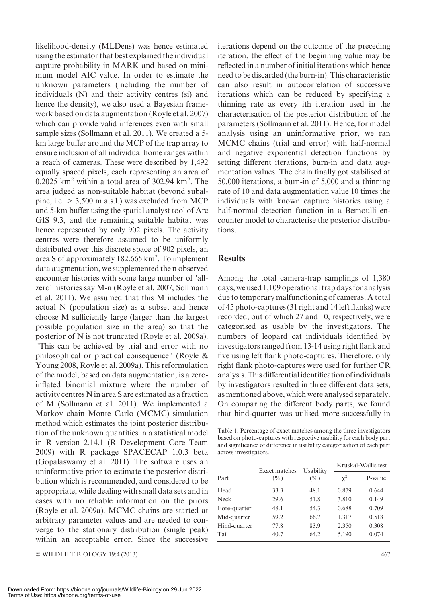likelihood-density (MLDens) was hence estimated using the estimator that best explained the individual capture probability in MARK and based on minimum model AIC value. In order to estimate the unknown parameters (including the number of individuals (N) and their activity centres (si) and hence the density), we also used a Bayesian framework based on data augmentation (Royle et al. 2007) which can provide valid inferences even with small sample sizes (Sollmann et al. 2011). We created a 5 km large buffer around the MCP of the trap array to ensure inclusion of all individual home ranges within a reach of cameras. These were described by 1,492 equally spaced pixels, each representing an area of  $0.2025$  km<sup>2</sup> within a total area of 302.94 km<sup>2</sup>. The area judged as non-suitable habitat (beyond subalpine, i.e.  $> 3,500$  m a.s.l.) was excluded from MCP and 5-km buffer using the spatial analyst tool of Arc GIS 9.3, and the remaining suitable habitat was hence represented by only 902 pixels. The activity centres were therefore assumed to be uniformly distributed over this discrete space of 902 pixels, an area S of approximately 182.665 km<sup>2</sup>. To implement data augmentation, we supplemented the n observed encounter histories with some large number of 'allzero' histories say M-n (Royle et al. 2007, Sollmann et al. 2011). We assumed that this M includes the actual N (population size) as a subset and hence choose M sufficiently large (larger than the largest possible population size in the area) so that the posterior of N is not truncated (Royle et al. 2009a). "This can be achieved by trial and error with no philosophical or practical consequence" (Royle & Young 2008, Royle et al. 2009a). This reformulation of the model, based on data augmentation, is a zeroinflated binomial mixture where the number of activity centres N in area S are estimated as a fraction of M (Sollmann et al. 2011). We implemented a Markov chain Monte Carlo (MCMC) simulation method which estimates the joint posterior distribution of the unknown quantities in a statistical model in R version 2.14.1 (R Development Core Team 2009) with R package SPACECAP 1.0.3 beta (Gopalaswamy et al. 2011). The software uses an uninformative prior to estimate the posterior distribution which is recommended, and considered to be appropriate, while dealing with small data sets and in cases with no reliable information on the priors (Royle et al. 2009a). MCMC chains are started at arbitrary parameter values and are needed to converge to the stationary distribution (single peak) within an acceptable error. Since the successive

© WILDLIFE BIOLOGY 19:4 (2013) 467

iterations depend on the outcome of the preceding iteration, the effect of the beginning value may be reflected in a number of initial iterations which hence need to be discarded (the burn-in). This characteristic can also result in autocorrelation of successive iterations which can be reduced by specifying a thinning rate as every ith iteration used in the characterisation of the posterior distribution of the parameters (Sollmann et al. 2011). Hence, for model analysis using an uninformative prior, we ran MCMC chains (trial and error) with half-normal and negative exponential detection functions by setting different iterations, burn-in and data augmentation values. The chain finally got stabilised at 50,000 iterations, a burn-in of 5,000 and a thinning rate of 10 and data augmentation value 10 times the individuals with known capture histories using a half-normal detection function in a Bernoulli encounter model to characterise the posterior distributions.

## **Results**

Among the total camera-trap samplings of 1,380 days, we used 1,109 operational trap days for analysis due to temporary malfunctioning of cameras. A total of 45 photo-captures (31 right and 14 left flanks) were recorded, out of which 27 and 10, respectively, were categorised as usable by the investigators. The numbers of leopard cat individuals identified by investigators ranged from 13-14 using right flank and five using left flank photo-captures. Therefore, only right flank photo-captures were used for further CR analysis. This differentialidentification of individuals by investigators resulted in three different data sets, as mentioned above, which were analysed separately. On comparing the different body parts, we found that hind-quarter was utilised more successfully in

Table 1. Percentage of exact matches among the three investigators based on photo-captures with respective usability for each body part and significance of difference in usability categorisation of each part across investigators.

|              |                         |                             | Kruskal-Wallis test |         |  |
|--------------|-------------------------|-----------------------------|---------------------|---------|--|
| Part         | Exact matches<br>$($ %) | Usability<br>$\binom{0}{0}$ | $\gamma^2$          | P-value |  |
| Head         | 33.3                    | 48.1                        | 0.879               | 0.644   |  |
| <b>Neck</b>  | 29.6                    | 51.8                        | 3.810               | 0.149   |  |
| Fore-quarter | 48.1                    | 54.3                        | 0.688               | 0.709   |  |
| Mid-quarter  | 59.2                    | 66.7                        | 1.317               | 0.518   |  |
| Hind-quarter | 77.8                    | 83.9                        | 2.350               | 0.308   |  |
| Tail         | 40.7                    | 64.2                        | 5.190               | 0.074   |  |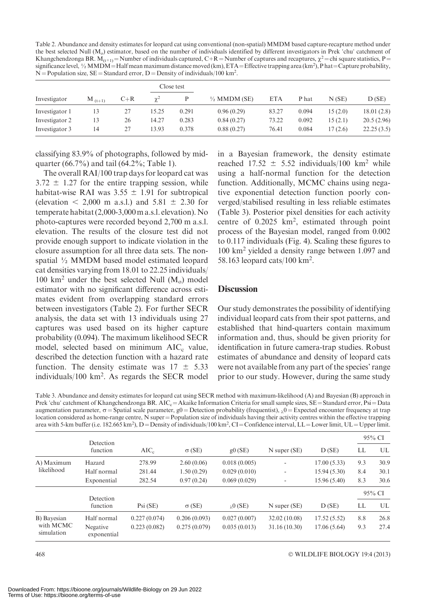Table 2. Abundance and density estimates for leopard cat using conventional (non-spatial) MMDM based capture-recapture method under the best selected Null  $(M<sub>o</sub>)$  estimator, based on the number of individuals identified by different investigators in Prek 'chu' catchment of Khangchendzonga BR.  $M_{(t+1)}$  = Number of individuals captured, C+R = Number of captures and recaptures,  $\chi^2$  = chi square statistics, P = significance level,  $\frac{1}{2}$  MMDM = Half mean maximum distance moved (km), ETA = Effective trapping area (km<sup>2</sup>), P hat = Capture probability,  $N =$  Population size,  $SE =$ Standard error, D = Density of individuals/100 km<sup>2</sup>.

|                |             |       |          | Close test |                         |            |       |         |            |
|----------------|-------------|-------|----------|------------|-------------------------|------------|-------|---------|------------|
| Investigator   | $M_{(t+1)}$ | $C+R$ | $\chi^2$ |            | $\frac{1}{2}$ MMDM (SE) | <b>ETA</b> | P hat | N(SE)   | D(SE)      |
| Investigator 1 |             |       | 15.25    | 0.291      | 0.96(0.29)              | 83.27      | 0.094 | 15(2.0) | 18.01(2.8) |
| Investigator 2 | 13          | 26    | 14.27    | 0.283      | 0.84(0.27)              | 73.22      | 0.092 | 15(2.1) | 20.5(2.96) |
| Investigator 3 | ί4          | 27    | 13.93    | 0.378      | 0.88(0.27)              | 76.41      | 0.084 | 17(2.6) | 22.25(3.5) |

classifying 83.9% of photographs, followed by midquarter (66.7%) and tail (64.2%; Table 1).

The overall RAI/100 trap days for leopard cat was  $3.72 \pm 1.27$  for the entire trapping session, while habitat-wise RAI was  $3.55 \pm 1.91$  for subtropical (elevation  $\leq 2,000$  m a.s.l.) and 5.81  $\pm$  2.30 for temperate habitat (2,000-3,000m a.s.l. elevation). No photo-captures were recorded beyond 2,700 m a.s.l. elevation. The results of the closure test did not provide enough support to indicate violation in the closure assumption for all three data sets. The nonspatial ½ MMDM based model estimated leopard cat densities varying from 18.01 to 22.25 individuals/ 100 km<sup>2</sup> under the best selected Null  $(M<sub>o</sub>)$  model estimator with no significant difference across estimates evident from overlapping standard errors between investigators (Table 2). For further SECR analysis, the data set with 13 individuals using 27 captures was used based on its higher capture probability (0.094). The maximum likelihood SECR model, selected based on minimum  $AIC_c$  value, described the detection function with a hazard rate function. The density estimate was  $17 \pm 5.33$ individuals/100 km2 . As regards the SECR model

in a Bayesian framework, the density estimate reached  $17.52 \pm 5.52$  individuals/100 km<sup>2</sup> while using a half-normal function for the detection function. Additionally, MCMC chains using negative exponential detection function poorly converged/stabilised resulting in less reliable estimates (Table 3). Posterior pixel densities for each activity centre of 0.2025 km<sup>2</sup>, estimated through point process of the Bayesian model, ranged from 0.002 to 0.117 individuals (Fig. 4). Scaling these figures to 100 km2 yielded a density range between 1.097 and 58.163 leopard cats/100 km2 .

## **Discussion**

Our study demonstrates the possibility of identifying individual leopard cats from their spot patterns, and established that hind-quarters contain maximum information and, thus, should be given priority for identification in future camera-trap studies. Robust estimates of abundance and density of leopard cats were not available from any part of the species' range prior to our study. However, during the same study

Table 3. Abundance and density estimates for leopard cat using SECR method with maximum-likelihood (A) and Bayesian (B) approach in Prek 'chu' catchment of Khangchendzonga BR. AIC<sub>c</sub> = Akaike Information Criteria for small sample sizes, SE = Standard error, Psi = Data augmentation parameter,  $\sigma$  = Spatial scale parameter, g0 = Detection probability (frequentist),  $\lambda$ 0 = Expected encounter frequency at trap location considered as home-range centre, N super = Population size of individuals having their activity centres within the effective trapping area with 5-km buffer (i.e. 182.665 km<sup>2</sup>), D=Density of individuals/100 km<sup>2</sup>, CI=Confidence interval, LL=Lower limit, UL=Upper limit.

|                                        | Detection               |              |               |                     |                          |             | 95% CI |      |
|----------------------------------------|-------------------------|--------------|---------------|---------------------|--------------------------|-------------|--------|------|
|                                        | function                | $AIC_c$      | $\sigma$ (SE) | g0(SE)              | $N$ super $(SE)$         | D(SE)       | LL     | UL   |
| A) Maximum<br>likelihood               | Hazard                  | 278.99       | 2.60(0.06)    | 0.018(0.005)        |                          | 17.00(5.33) | 9.3    | 30.9 |
|                                        | Half normal             | 281.44       | 1.50(0.29)    | 0.029(0.010)        | ٠                        | 15.94(5.30) | 8.4    | 30.1 |
|                                        | Exponential             | 282.54       | 0.97(0.24)    | 0.069(0.029)        | $\overline{\phantom{a}}$ | 15.96(5.40) | 8.3    | 30.6 |
|                                        |                         |              |               |                     |                          |             | 95% CI |      |
|                                        | Detection<br>function   | Psi(SE)      | $\sigma$ (SE) | $_{\lambda}$ 0 (SE) | $N$ super $(SE)$         | D(SE)       | LL     | UL   |
| B) Bayesian<br>with MCMC<br>simulation | Half normal             | 0.227(0.074) | 0.206(0.093)  | 0.027(0.007)        | 32.02 (10.08)            | 17.52(5.52) | 8.8    | 26.8 |
|                                        | Negative<br>exponential | 0.223(0.082) | 0.275(0.079)  | 0.035(0.013)        | 31.16(10.30)             | 17.06(5.64) | 9.3    | 27.4 |

WILDLIFE BIOLOGY 19:4 (2013)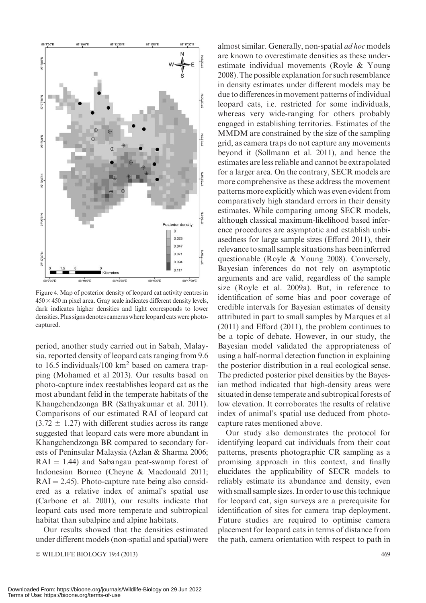

Figure 4. Map of posterior density of leopard cat activity centres in  $450 \times 450$  m pixel area. Gray scale indicates different density levels, dark indicates higher densities and light corresponds to lower densities. Plus signs denotes cameras where leopard cats were photocaptured.

period, another study carried out in Sabah, Malaysia, reported density of leopard cats ranging from 9.6 to 16.5 individuals/100  $km^2$  based on camera trapping (Mohamed et al 2013). Our results based on photo-capture index reestablishes leopard cat as the most abundant felid in the temperate habitats of the Khangchendzonga BR (Sathyakumar et al. 2011). Comparisons of our estimated RAI of leopard cat  $(3.72 \pm 1.27)$  with different studies across its range suggested that leopard cats were more abundant in Khangchendzonga BR compared to secondary forests of Peninsular Malaysia (Azlan & Sharma 2006;  $RAI = 1.44$ ) and Sabangau peat-swamp forest of Indonesian Borneo (Cheyne & Macdonald 2011;  $RAI = 2.45$ ). Photo-capture rate being also considered as a relative index of animal's spatial use (Carbone et al. 2001), our results indicate that leopard cats used more temperate and subtropical habitat than subalpine and alpine habitats.

Our results showed that the densities estimated under different models (non-spatial and spatial) were

© WILDLIFE BIOLOGY 19:4 (2013) 469

almost similar. Generally, non-spatial ad hoc models are known to overestimate densities as these underestimate individual movements (Royle & Young 2008).The possible explanation for such resemblance in density estimates under different models may be due to differences in movement patterns of individual leopard cats, i.e. restricted for some individuals, whereas very wide-ranging for others probably engaged in establishing territories. Estimates of the MMDM are constrained by the size of the sampling grid, as camera traps do not capture any movements beyond it (Sollmann et al. 2011), and hence the estimates are less reliable and cannot be extrapolated for a larger area. On the contrary, SECR models are more comprehensive as these address the movement patterns more explicitly which was even evident from comparatively high standard errors in their density estimates. While comparing among SECR models, although classical maximum-likelihood based inference procedures are asymptotic and establish unbiasedness for large sample sizes (Efford 2011), their relevance to small sample situations has beeninferred questionable (Royle & Young 2008). Conversely, Bayesian inferences do not rely on asymptotic arguments and are valid, regardless of the sample size (Royle et al. 2009a). But, in reference to identification of some bias and poor coverage of credible intervals for Bayesian estimates of density attributed in part to small samples by Marques et al (2011) and Efford (2011), the problem continues to be a topic of debate. However, in our study, the Bayesian model validated the appropriateness of using a half-normal detection function in explaining the posterior distribution in a real ecological sense. The predicted posterior pixel densities by the Bayesian method indicated that high-density areas were situated in dense temperate and subtropical forests of low elevation. It corroborates the results of relative index of animal's spatial use deduced from photocapture rates mentioned above.

Our study also demonstrates the protocol for identifying leopard cat individuals from their coat patterns, presents photographic CR sampling as a promising approach in this context, and finally elucidates the applicability of SECR models to reliably estimate its abundance and density, even with small sample sizes. In order to use this technique for leopard cat, sign surveys are a prerequisite for identification of sites for camera trap deployment. Future studies are required to optimise camera placement for leopard cats in terms of distance from the path, camera orientation with respect to path in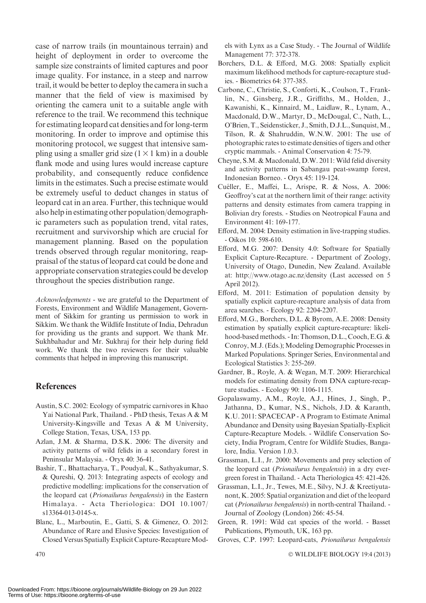case of narrow trails (in mountainous terrain) and height of deployment in order to overcome the sample size constraints of limited captures and poor image quality. For instance, in a steep and narrow trail, it would be better to deploy the camera in such a manner that the field of view is maximised by orienting the camera unit to a suitable angle with reference to the trail. We recommend this technique for estimating leopard cat densities and for long-term monitoring. In order to improve and optimise this monitoring protocol, we suggest that intensive sampling using a smaller grid size  $(1 \times 1 \text{ km})$  in a double flank mode and using lures would increase capture probability, and consequently reduce confidence limits in the estimates. Such a precise estimate would be extremely useful to deduct changes in status of leopard cat in an area. Further, this technique would also help in estimating other population/demographic parameters such as population trend, vital rates, recruitment and survivorship which are crucial for management planning. Based on the population trends observed through regular monitoring, reappraisal of the status of leopard cat could be done and appropriate conservation strategies could be develop throughout the species distribution range.

Acknowledgements - we are grateful to the Department of Forests, Environment and Wildlife Management, Government of Sikkim for granting us permission to work in Sikkim. We thank the Wildlife Institute of India, Dehradun for providing us the grants and support. We thank Mr. Sukhbahadur and Mr. Sukhraj for their help during field work. We thank the two reviewers for their valuable comments that helped in improving this manuscript.

## **References**

- Austin, S.C. 2002: Ecology of sympatric carnivores in Khao Yai National Park, Thailand. - PhD thesis, Texas A & M University-Kingsville and Texas A & M University, College Station, Texas, USA, 153 pp.
- Azlan, J.M. & Sharma, D.S.K. 2006: The diversity and activity patterns of wild felids in a secondary forest in Peninsular Malaysia. - Oryx 40: 36-41.
- Bashir, T., Bhattacharya, T., Poudyal, K., Sathyakumar, S. & Qureshi, Q. 2013: Integrating aspects of ecology and predictive modelling: implications for the conservation of the leopard cat (Prionailurus bengalensis) in the Eastern Himalaya. - Acta Theriologica: DOI 10.1007/ s13364-013-0145-x.
- Blanc, L., Marboutin, E., Gatti, S. & Gimenez, O. 2012: Abundance of Rare and Elusive Species: Investigation of Closed Versus Spatially Explicit Capture-Recapture Mod-

els with Lynx as a Case Study. - The Journal of Wildlife Management 77: 372-378.

- Borchers, D.L. & Efford, M.G. 2008: Spatially explicit maximum likelihood methods for capture-recapture studies. - Biometrics 64: 377-385.
- Carbone, C., Christie, S., Conforti, K., Coulson, T., Franklin, N., Ginsberg, J.R., Griffiths, M., Holden, J., Kawanishi, K., Kinnaird, M., Laidlaw, R., Lynam, A., Macdonald, D.W., Martyr, D., McDougal, C., Nath, L., O'Brien, T., Seidensticker, J., Smith, D.J.L., Sunquist,M., Tilson, R. & Shahruddin, W.N.W. 2001: The use of photographic rates to estimate densities of tigers and other cryptic mammals. - Animal Conservation 4: 75-79.
- Cheyne, S.M. & Macdonald, D.W. 2011: Wild felid diversity and activity patterns in Sabangau peat-swamp forest, Indonesian Borneo. - Oryx 45: 119-124.
- Cuéller, E., Maffei, L., Arispe, R. & Noss, A. 2006: Geoffroy's cat at the northern limit of their range: activity patterns and density estimates from camera trapping in Bolivian dry forests. - Studies on Neotropical Fauna and Environment 41: 169-177.
- Efford, M. 2004: Density estimation in live-trapping studies. - Oikos 10: 598-610.
- Efford, M.G. 2007: Density 4.0: Software for Spatially Explicit Capture-Recapture. - Department of Zoology, University of Otago, Dunedin, New Zealand. Available at: http://www.otago.ac.nz/density (Last accessed on 5 April 2012).
- Efford, M. 2011: Estimation of population density by spatially explicit capture-recapture analysis of data from area searches. - Ecology 92: 2204-2207.
- Efford, M.G., Borchers, D.L. & Byrom, A.E. 2008: Density estimation by spatially explicit capture-recapture: likelihood-basedmethods. - In: Thomson, D.L., Cooch, E.G. & Conroy, M.J. (Eds.); Modeling Demographic Processes in Marked Populations. Springer Series, Environmental and Ecological Statistics 3: 255-269.
- Gardner, B., Royle, A. & Wegan, M.T. 2009: Hierarchical models for estimating density from DNA capture-recapture studies. - Ecology 90: 1106-1115.
- Gopalaswamy, A.M., Royle, A.J., Hines, J., Singh, P., Jathanna, D., Kumar, N.S., Nichols, J.D. & Karanth, K.U. 2011: SPACECAP - A Program to Estimate Animal Abundance and Density using Bayesian Spatially-Explicit Capture-Recapture Models. - Wildlife Conservation Society, India Program, Centre for Wildlife Studies, Bangalore, India. Version 1.0.3.
- Grassman, L.I., Jr. 2000: Movements and prey selection of the leopard cat (Prionailurus bengalensis) in a dry evergreen forest in Thailand. - Acta Theriologica 45: 421-426.
- Grassman, L.I., Jr., Tewes, M.E., Silvy, N.J. & Kreetiyutanont, K. 2005: Spatial organization and diet of the leopard cat (Prionailurus bengalensis) in north-central Thailand. - Journal of Zoology (London) 266: 45-54.
- Green, R. 1991: Wild cat species of the world. Basset Publications, Plymouth, UK, 163 pp.
- Groves, C.P. 1997: Leopard-cats, Prionailurus bengalensis

WILDLIFE BIOLOGY 19:4 (2013)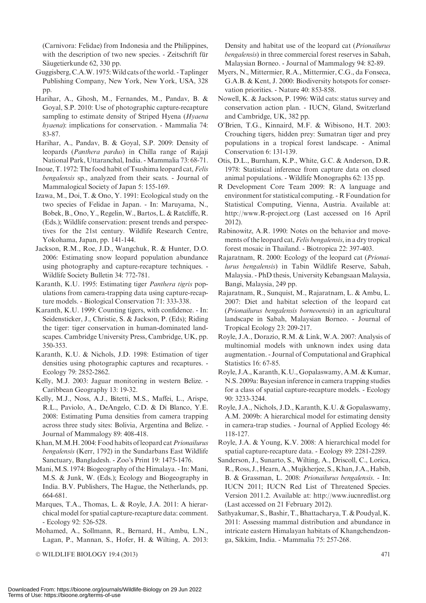(Carnivora: Felidae) from Indonesia and the Philippines, with the description of two new species. - Zeitschrift für Säugetierkunde 62, 330 pp.

Guggisberg, C.A.W. 1975:Wild cats of the world. - Taplinger Publishing Company, New York, New York, USA, 328 pp.

- Harihar, A., Ghosh, M., Fernandes, M., Pandav, B. & Goyal, S.P. 2010: Use of photographic capture-recapture sampling to estimate density of Striped Hyena (Hyaena hyaena): implications for conservation. - Mammalia 74: 83-87.
- Harihar, A., Pandav, B. & Goyal, S.P. 2009: Density of leopards (Panthera pardus) in Chilla range of Rajaji National Park, Uttaranchal, India. - Mammalia 73: 68-71.
- Inoue, T. 1972: The food habit of Tsushima leopard cat, Felis bengalensis sp., analyzed from their scats. - Journal of Mammalogical Society of Japan 5: 155-169.
- Izawa, M., Doi, T. & Ono, Y. 1991: Ecological study on the two species of Felidae in Japan. - In: Maruyama, N., Bobek, B., Ono, Y., Regelin,W., Bartos, L. & Ratcliffe, R. (Eds.); Wildlife conservation: present trends and perspectives for the 21st century. Wildlife Research Centre, Yokohama, Japan, pp. 141-144.
- Jackson, R.M., Roe, J.D., Wangchuk, R. & Hunter, D.O. 2006: Estimating snow leopard population abundance using photography and capture-recapture techniques. - Wildlife Society Bulletin 34: 772-781.
- Karanth, K.U. 1995: Estimating tiger Panthera tigris populations from camera-trapping data using capture-recapture models. - Biological Conservation 71: 333-338.
- Karanth, K.U. 1999: Counting tigers, with confidence. In: Seidensticker, J., Christie, S. & Jackson, P. (Eds); Riding the tiger: tiger conservation in human-dominated landscapes. Cambridge University Press, Cambridge, UK, pp. 350-353.
- Karanth, K.U. & Nichols, J.D. 1998: Estimation of tiger densities using photographic captures and recaptures. - Ecology 79: 2852-2862.
- Kelly, M.J. 2003: Jaguar monitoring in western Belize. Caribbean Geography 13: 19-32.
- Kelly, M.J., Noss, A.J., Bitetti, M.S., Maffei, L., Arispe, R.L., Paviolo, A., DeAngelo, C.D. & Di Blanco, Y.E. 2008: Estimating Puma densities from camera trapping across three study sites: Bolivia, Argentina and Belize. - Journal of Mammalogy 89: 408-418.
- Khan, M.M.H. 2004: Food habits of leopard cat Prionailurus bengalensis (Kerr, 1792) in the Sundarbans East Wildlife Sanctuary, Bangladesh. - Zoo's Print 19: 1475-1476.
- Mani, M.S. 1974: Biogeography of the Himalaya. In: Mani, M.S. & Junk, W. (Eds.); Ecology and Biogeography in India. B.V. Publishers, The Hague, the Netherlands, pp. 664-681.
- Marques, T.A., Thomas, L. & Royle, J.A. 2011: A hierarchical model for spatial capture-recapture data: comment. - Ecology 92: 526-528.
- Mohamed, A., Sollmann, R., Bernard, H., Ambu, L.N., Lagan, P., Mannan, S., Hofer, H. & Wilting, A. 2013:

© WILDLIFE BIOLOGY 19:4 (2013) 471

Density and habitat use of the leopard cat (Prionailurus bengalensis) in three commercial forest reserves in Sabah, Malaysian Borneo. - Journal of Mammalogy 94: 82-89.

- Myers, N., Mittermier, R.A., Mittermier, C.G., da Fonseca, G.A.B. & Kent, J. 2000: Biodiversity hotspots for conservation priorities. - Nature 40: 853-858.
- Nowell, K. & Jackson, P. 1996: Wild cats: status survey and conservation action plan. - IUCN, Gland, Switzerland and Cambridge, UK, 382 pp.
- O'Brien, T.G., Kinnaird, M.F. & Wibisono, H.T. 2003: Crouching tigers, hidden prey: Sumatran tiger and prey populations in a tropical forest landscape. - Animal Conservation 6: 131-139.
- Otis, D.L., Burnham, K.P., White, G.C. & Anderson, D.R. 1978: Statistical inference from capture data on closed animal populations. - Wildlife Monographs 62: 135 pp.
- R Development Core Team 2009: R: A language and environment for statistical computing. - R Foundation for Statistical Computing, Vienna, Austria. Available at: http://www.R-project.org (Last accessed on 16 April 2012).
- Rabinowitz, A.R. 1990: Notes on the behavior and movements of the leopard cat, Felis bengalensis, in a dry tropical forest mosaic in Thailand. - Biotropica 22: 397-403.
- Rajaratnam, R. 2000: Ecology of the leopard cat (Prionailurus bengalensis) in Tabin Wildlife Reserve, Sabah, Malaysia. - PhD thesis, University Kebangsaan Malaysia, Bangi, Malaysia, 249 pp.
- Rajaratnam, R., Sunquist, M., Rajaratnam, L. & Ambu, L. 2007: Diet and habitat selection of the leopard cat (Prionailurus bengalensis borneoensis) in an agricultural landscape in Sabah, Malaysian Borneo. - Journal of Tropical Ecology 23: 209-217.
- Royle, J.A., Dorazio, R.M. & Link, W.A. 2007: Analysis of multinomial models with unknown index using data augmentation. - Journal of Computational and Graphical Statistics 16: 67-85.
- Royle, J.A., Karanth, K.U., Gopalaswamy, A.M. & Kumar, N.S. 2009a: Bayesian inference in camera trapping studies for a class of spatial capture-recapture models. - Ecology 90: 3233-3244.
- Royle, J.A., Nichols, J.D., Karanth, K.U. & Gopalaswamy, A.M. 2009b: A hierarchical model for estimating density in camera-trap studies. - Journal of Applied Ecology 46: 118-127.
- Royle, J.A. & Young, K.V. 2008: A hierarchical model for spatial capture-recapture data. - Ecology 89: 2281-2289.
- Sanderson, J., Sunarto, S., Wilting, A., Driscoll, C., Lorica, R., Ross, J.,Hearn, A.,Mujkherjee, S., Khan, J.A., Habib, B. & Grassman, L. 2008: Prionailurus bengalensis. - In: IUCN 2011; IUCN Red List of Threatened Species. Version 2011.2. Available at: http://www.iucnredlist.org (Last accessed on 21 February 2012).
- Sathyakumar, S., Bashir, T., Bhattacharya, T. & Poudyal,K. 2011: Assessing mammal distribution and abundance in intricate eastern Himalayan habitats of Khangchendzonga, Sikkim, India. - Mammalia 75: 257-268.